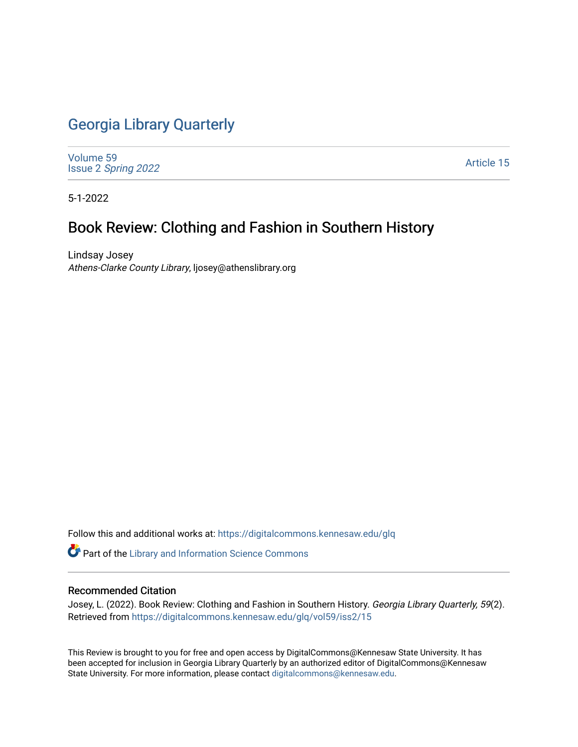## [Georgia Library Quarterly](https://digitalcommons.kennesaw.edu/glq)

[Volume 59](https://digitalcommons.kennesaw.edu/glq/vol59) Issue 2 [Spring 2022](https://digitalcommons.kennesaw.edu/glq/vol59/iss2) 

[Article 15](https://digitalcommons.kennesaw.edu/glq/vol59/iss2/15) 

5-1-2022

## Book Review: Clothing and Fashion in Southern History

Lindsay Josey Athens-Clarke County Library, ljosey@athenslibrary.org

Follow this and additional works at: [https://digitalcommons.kennesaw.edu/glq](https://digitalcommons.kennesaw.edu/glq?utm_source=digitalcommons.kennesaw.edu%2Fglq%2Fvol59%2Fiss2%2F15&utm_medium=PDF&utm_campaign=PDFCoverPages) 

Part of the [Library and Information Science Commons](http://network.bepress.com/hgg/discipline/1018?utm_source=digitalcommons.kennesaw.edu%2Fglq%2Fvol59%2Fiss2%2F15&utm_medium=PDF&utm_campaign=PDFCoverPages) 

## Recommended Citation

Josey, L. (2022). Book Review: Clothing and Fashion in Southern History. Georgia Library Quarterly, 59(2). Retrieved from [https://digitalcommons.kennesaw.edu/glq/vol59/iss2/15](https://digitalcommons.kennesaw.edu/glq/vol59/iss2/15?utm_source=digitalcommons.kennesaw.edu%2Fglq%2Fvol59%2Fiss2%2F15&utm_medium=PDF&utm_campaign=PDFCoverPages) 

This Review is brought to you for free and open access by DigitalCommons@Kennesaw State University. It has been accepted for inclusion in Georgia Library Quarterly by an authorized editor of DigitalCommons@Kennesaw State University. For more information, please contact [digitalcommons@kennesaw.edu.](mailto:digitalcommons@kennesaw.edu)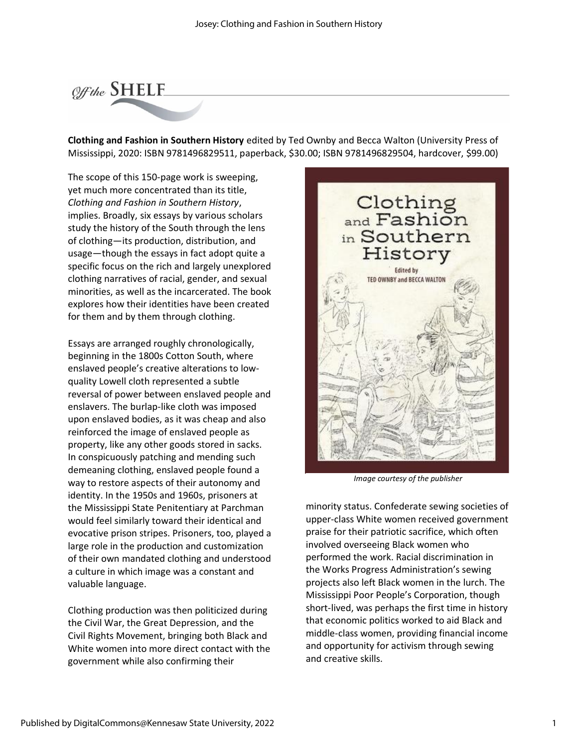

**Clothing and Fashion in Southern History** edited by Ted Ownby and Becca Walton (University Press of Mississippi, 2020: ISBN 9781496829511, paperback, \$30.00; ISBN 9781496829504, hardcover, \$99.00)

The scope of this 150-page work is sweeping, yet much more concentrated than its title, *Clothing and Fashion in Southern History*, implies. Broadly, six essays by various scholars study the history of the South through the lens of clothing—its production, distribution, and usage—though the essays in fact adopt quite a specific focus on the rich and largely unexplored clothing narratives of racial, gender, and sexual minorities, as well as the incarcerated. The book explores how their identities have been created for them and by them through clothing.

Essays are arranged roughly chronologically, beginning in the 1800s Cotton South, where enslaved people's creative alterations to lowquality Lowell cloth represented a subtle reversal of power between enslaved people and enslavers. The burlap-like cloth was imposed upon enslaved bodies, as it was cheap and also reinforced the image of enslaved people as property, like any other goods stored in sacks. In conspicuously patching and mending such demeaning clothing, enslaved people found a way to restore aspects of their autonomy and identity. In the 1950s and 1960s, prisoners at the Mississippi State Penitentiary at Parchman would feel similarly toward their identical and evocative prison stripes. Prisoners, too, played a large role in the production and customization of their own mandated clothing and understood a culture in which image was a constant and valuable language.

Clothing production was then politicized during the Civil War, the Great Depression, and the Civil Rights Movement, bringing both Black and White women into more direct contact with the government while also confirming their



*Image courtesy of the publisher*

minority status. Confederate sewing societies of upper-class White women received government praise for their patriotic sacrifice, which often involved overseeing Black women who performed the work. Racial discrimination in the Works Progress Administration's sewing projects also left Black women in the lurch. The Mississippi Poor People's Corporation, though short-lived, was perhaps the first time in history that economic politics worked to aid Black and middle-class women, providing financial income and opportunity for activism through sewing and creative skills.